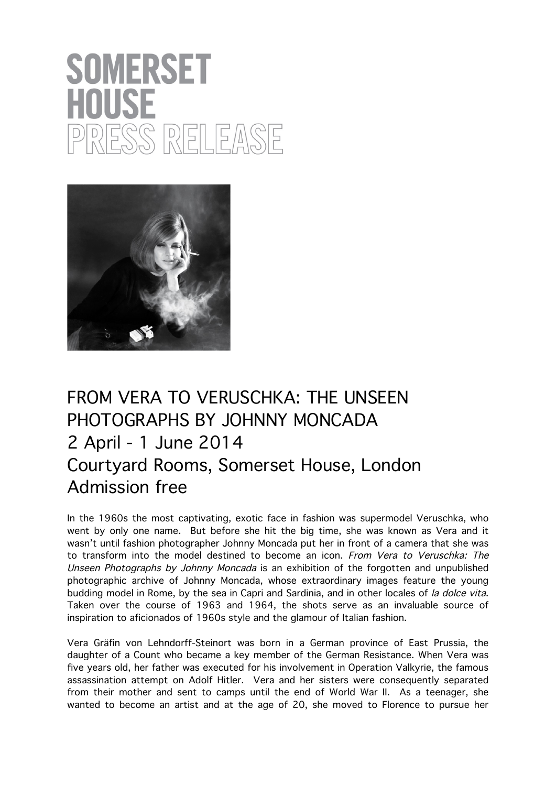## **SOMERSET** HOUSE ) NELEAS



## FROM VERA TO VERUSCHKA: THE UNSEEN PHOTOGRAPHS BY JOHNNY MONCADA 2 April - 1 June 2014 Courtyard Rooms, Somerset House, London Admission free

In the 1960s the most captivating, exotic face in fashion was supermodel Veruschka, who went by only one name. But before she hit the big time, she was known as Vera and it wasn't until fashion photographer Johnny Moncada put her in front of a camera that she was to transform into the model destined to become an icon. From Vera to Veruschka: The Unseen Photographs by Johnny Moncada is an exhibition of the forgotten and unpublished photographic archive of Johnny Moncada, whose extraordinary images feature the young budding model in Rome, by the sea in Capri and Sardinia, and in other locales of la dolce vita. Taken over the course of 1963 and 1964, the shots serve as an invaluable source of inspiration to aficionados of 1960s style and the glamour of Italian fashion.

Vera Gräfin von Lehndorff-Steinort was born in a German province of East Prussia, the daughter of a Count who became a key member of the German Resistance. When Vera was five years old, her father was executed for his involvement in Operation Valkyrie, the famous assassination attempt on Adolf Hitler. Vera and her sisters were consequently separated from their mother and sent to camps until the end of World War II. As a teenager, she wanted to become an artist and at the age of 20, she moved to Florence to pursue her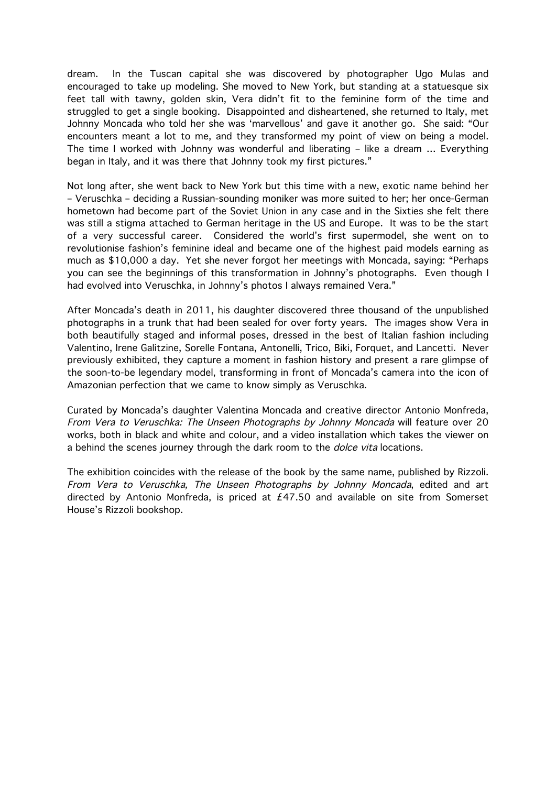dream. In the Tuscan capital she was discovered by photographer Ugo Mulas and encouraged to take up modeling. She moved to New York, but standing at a statuesque six feet tall with tawny, golden skin, Vera didn't fit to the feminine form of the time and struggled to get a single booking. Disappointed and disheartened, she returned to Italy, met Johnny Moncada who told her she was 'marvellous' and gave it another go. She said: "Our encounters meant a lot to me, and they transformed my point of view on being a model. The time I worked with Johnny was wonderful and liberating – like a dream … Everything began in Italy, and it was there that Johnny took my first pictures."

Not long after, she went back to New York but this time with a new, exotic name behind her – Veruschka – deciding a Russian-sounding moniker was more suited to her; her once-German hometown had become part of the Soviet Union in any case and in the Sixties she felt there was still a stigma attached to German heritage in the US and Europe. It was to be the start of a very successful career. Considered the world's first supermodel, she went on to revolutionise fashion's feminine ideal and became one of the highest paid models earning as much as \$10,000 a day. Yet she never forgot her meetings with Moncada, saying: "Perhaps you can see the beginnings of this transformation in Johnny's photographs. Even though I had evolved into Veruschka, in Johnny's photos I always remained Vera."

After Moncada's death in 2011, his daughter discovered three thousand of the unpublished photographs in a trunk that had been sealed for over forty years. The images show Vera in both beautifully staged and informal poses, dressed in the best of Italian fashion including Valentino, Irene Galitzine, Sorelle Fontana, Antonelli, Trico, Biki, Forquet, and Lancetti. Never previously exhibited, they capture a moment in fashion history and present a rare glimpse of the soon-to-be legendary model, transforming in front of Moncada's camera into the icon of Amazonian perfection that we came to know simply as Veruschka.

Curated by Moncada's daughter Valentina Moncada and creative director Antonio Monfreda, From Vera to Veruschka: The Unseen Photographs by Johnny Moncada will feature over 20 works, both in black and white and colour, and a video installation which takes the viewer on a behind the scenes journey through the dark room to the dolce vita locations.

The exhibition coincides with the release of the book by the same name, published by Rizzoli. From Vera to Veruschka, The Unseen Photographs by Johnny Moncada, edited and art directed by Antonio Monfreda, is priced at £47.50 and available on site from Somerset House's Rizzoli bookshop.